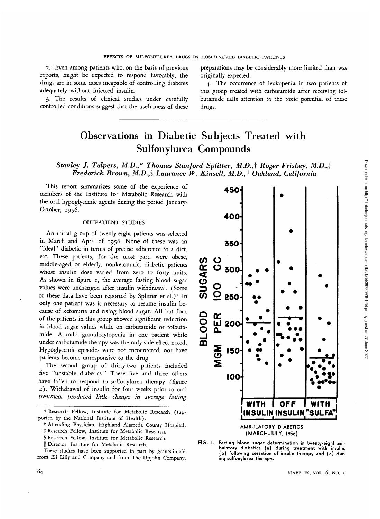2. Even among patients who, on the basis of previous reports, might be expected to respond favorably, the drugs are in some cases incapable of controlling diabetes adequately without injected insulin.

3. The results of clinical studies under carefully controlled conditions suggest that the usefulness of these preparations may be considerably more limited than was originally expected.

4. The occurrence of leukopenia in two patients of this group treated with carbutamide after receiving tolbutamide calls attention to the toxic potential of these drugs.

# Observations in Diabetic Subjects Treated with Sulfonylurea Compounds

## *Stanley J. Talpers,* M.D.,\* *Thomas Stanford Splitter, M.D.,f Roger Friskey, M.D.,% Frederick Brown, M.D.,§ Laurance W. Kinsell, M.D.,\\ Oakland, California*

This report summarizes some of the experience of members of the Institute for Metabolic Research with the oral hypoglycemic agents during the period January-October, 1956.

### OUTPATIENT STUDIES

An initial group of twenty-eight patients was selected in March and April of 1956. None of these was an "ideal" diabetic in terms of precise adherence to a diet, etc. These patients, for the most part, were obese, middle-aged or elderly, nonketonuric, diabetic patients whose insulin dose varied from zero to forty units. As shown in figure 1, the average fasting blood sugar values were unchanged after insulin withdrawal. (Some of these data have been reported by Splitter et al.)<sup>1</sup> In only one patient was it necessary to resume insulin because of ketonuria and rising blood sugar. All but four of the patients in this group showed significant reduction in blood sugar values while on carbutamide or tolbutamide. A mild granulocytopenia in one patient while under carbutamide therapy was the only side effect noted. Hypoglycemic episodes were not encountered, nor have patients become unresponsive to the drug.

The second group of thirty-two patients included five "unstable diabetics." These five and three others have failed to respond to sulfonylurea therapy (figure 2). Withdrawal of insulin for four weeks prior to oral *treatment produced little change in average fasting*

These studies have been supported in part by grants-in-aid from Eli Lilly and Company and from The Upjohn Company.



**AMBULATORY DIABETICS (MARCH-JULY, 1956)**

**FIG. I. Fasting blood sugar determination in twenty-eight ambulatory diabetics (a) during treatment with insulin, (b) following cessation of insulin therapy and (c) during sulfonylurea therapy.**

*<sup>\*</sup>* Research Fellow, Institute for Metabolic Research (supported by the National Institute of Health).

t Attending Physician, Highland Alameda County Hospital.

*t* Research Fellow, Institute for Metabolic Research. § Research Fellow, Institute for Metabolic Research.

<sup>||</sup> Director, Institute for Metabolic Research.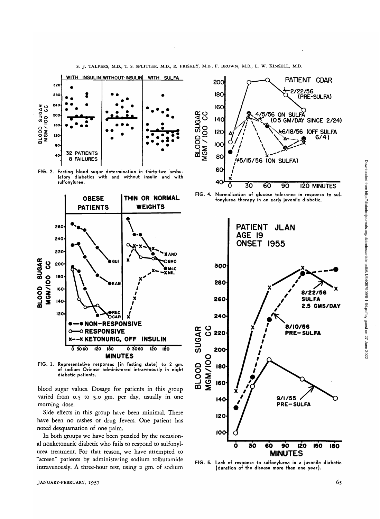

S. J. TALPERS, M.D., T. S. SPLITTER, M.D., R. FRISKEY, M.D., F. BROWN, M.D., L. W. KINSELL, M.D.

FIG. 2. Fasting blood sugar determination in thirty-two ambuand the state of the minimum in this suite ambulatory diabetics with and without insulin and with



FIG. 3. Representative responses (in fasting state) to 2 gm.<br>of sodium Orinase administered intravenously in eight diabetic patients.

blood sugar values. Dosage for patients in this group varied from 0.5 to 3.0 gm. per day, usually in one morning dose.

Side effects in this group have been minimal. There have been no rashes or drug fevers. One patient has noted desquamation of one palm.

In both groups we have been puzzled by the occasional nonketonuric diabetic who fails to respond to sulfonylurea treatment. For that reason, we have attempted to "screen" patients by administering sodium tolbutamide intravenously. A three-hour test, using 2 gm. of sodium







FIG. 5. Lack of response to sulfonylurea in a juvenile diabetic (duration of the disease more than one year).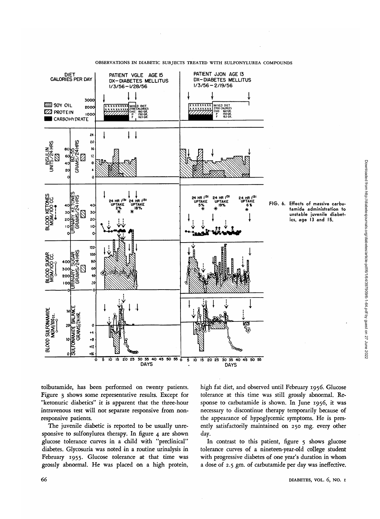



Downloaded from http://diabetesjournals.org/diabetes/article-pdf/6/1/64/397909/6-1-64.pdf by guest on 27 June 2022

Downloaded from http://diabetesjournals.org/diabetes/article-pdf/6/1/94/397909/6-1-64.pdf by guest on 27 June 2022

tolbutamide, has been performed on twenty patients. Figure 3 shows some representative results. Except for "ketonuric diabetics" it *is* apparent that the three-hour intravenous test will not separate responsive from nonresponsive patients.

The juvenile diabetic is reported to be usually unresponsive to sulfonylurea therapy. In figure 4 are shown glucose tolerance curves in a child with "preclinical" diabetes. Glycosuria was noted in a routine urinalysis in February 1955. Glucose tolerance at that time was grossly abnormal. He was placed on a high protein,

high fat diet, and observed until February 1956. Glucose tolerance at this time was still grossly abnormal. Response to carbutamide is shown. In June 1956, it was necessary to discontinue therapy temporarily because of the appearance of hypoglycemic symptoms. He is presently satisfactorily maintained on 250 mg. every other day.

In contrast to this patient, figure  $\frac{1}{2}$  shows glucose tolerance curves of a nineteen-year-old college student with progressive diabetes of one year's duration in whom a dose of 2.5 gm. of carbutamide per day was ineffective.